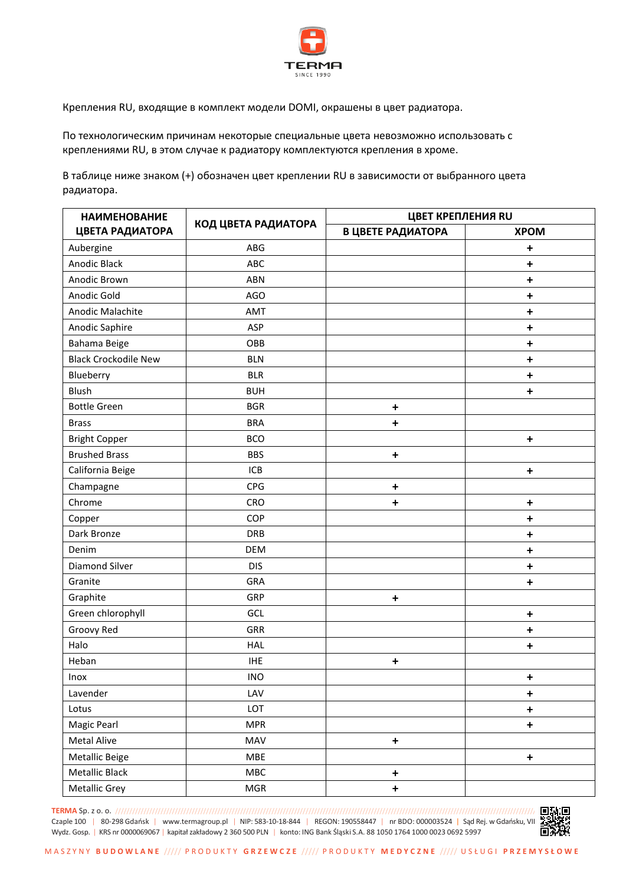

Крепления RU, входящие в комплект модели DOMI, окрашены в цвет радиатора.

По технологическим причинам некоторые специальные цвета невозможно использовать с креплениями RU, в этом случае к радиатору комплектуются крепления в хроме.

В таблице ниже знаком (+) обозначен цвет креплении RU в зависимости от выбранного цвета радиатора.

| <b>НАИМЕНОВАНИЕ</b><br>ЦВЕТА РАДИАТОРА | КОД ЦВЕТА РАДИАТОРА | ЦВЕТ КРЕПЛЕНИЯ RU |             |
|----------------------------------------|---------------------|-------------------|-------------|
|                                        |                     | В ЦВЕТЕ РАДИАТОРА | <b>XPOM</b> |
| Aubergine                              | ABG                 |                   | +           |
| Anodic Black                           | ABC                 |                   | $\ddot{}$   |
| Anodic Brown                           | <b>ABN</b>          |                   | $\ddot{}$   |
| Anodic Gold                            | <b>AGO</b>          |                   | $\ddot{}$   |
| Anodic Malachite                       | <b>AMT</b>          |                   | $\ddot{}$   |
| Anodic Saphire                         | ASP                 |                   | $\ddot{}$   |
| Bahama Beige                           | OBB                 |                   | $\ddot{}$   |
| <b>Black Crockodile New</b>            | <b>BLN</b>          |                   | $\ddot{}$   |
| Blueberry                              | <b>BLR</b>          |                   | +           |
| Blush                                  | <b>BUH</b>          |                   | $\ddot{}$   |
| <b>Bottle Green</b>                    | <b>BGR</b>          | $\ddot{}$         |             |
| <b>Brass</b>                           | <b>BRA</b>          | $\ddot{}$         |             |
| <b>Bright Copper</b>                   | <b>BCO</b>          |                   | $\ddot{}$   |
| <b>Brushed Brass</b>                   | <b>BBS</b>          | $\ddot{}$         |             |
| California Beige                       | ICB                 |                   | $\ddot{}$   |
| Champagne                              | <b>CPG</b>          | $\ddot{}$         |             |
| Chrome                                 | CRO                 | $\ddot{}$         | $\ddot{}$   |
| Copper                                 | COP                 |                   | $\ddot{}$   |
| Dark Bronze                            | <b>DRB</b>          |                   | $\ddot{}$   |
| Denim                                  | <b>DEM</b>          |                   | $\ddot{}$   |
| <b>Diamond Silver</b>                  | <b>DIS</b>          |                   | $\ddot{}$   |
| Granite                                | GRA                 |                   | $\ddot{}$   |
| Graphite                               | GRP                 | $\ddot{}$         |             |
| Green chlorophyll                      | GCL                 |                   | $\ddot{}$   |
| Groovy Red                             | GRR                 |                   | $\ddot{}$   |
| Halo                                   | HAL                 |                   | $\ddot{}$   |
| Heban                                  | <b>IHE</b>          | $\ddot{}$         |             |
| Inox                                   | INO                 |                   | $\ddot{}$   |
| Lavender                               | LAV                 |                   | $\ddot{}$   |
| Lotus                                  | LOT                 |                   | $\ddot{}$   |
| Magic Pearl                            | <b>MPR</b>          |                   | $\ddot{}$   |
| <b>Metal Alive</b>                     | MAV                 | $\pmb{+}$         |             |
| Metallic Beige                         | MBE                 |                   | $\bf +$     |
| Metallic Black                         | MBC                 | $\pmb{+}$         |             |
| Metallic Grey                          | MGR                 | $\pmb{+}$         |             |

**TERMA** Sp. z o. o. //////////////////////////////////////////////////////////////////////////////////////////////////////////////////////////////////////////////////// Czaple 100 | 80-298 Gdańsk | www.termagroup.pl | NIP: 583-10-18-844 | [REGON: 190558447](http://www.termagroup.pl/) | nr BDO: 000003524 | Sąd Rej. w Gdańsku, VIII **BS PAPE**<br>Wydz. Gosp. | KRS nr 0000069067 | kapitał zakładowy 2 360 500 PLN | konto: IN Wydz. Gosp. | KRS nr 0000069067 <sup>|</sup> kapitał zakładowy 2 360 500 PLN <sup>|</sup> konto: ING Bank Śląski S.A. 88 1050 1764 1000 0023 0692 5997